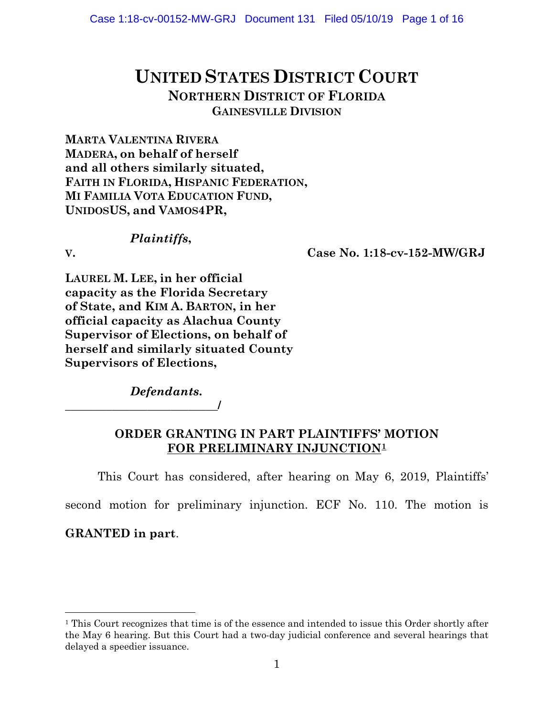# **UNITED STATES DISTRICT COURT NORTHERN DISTRICT OF FLORIDA GAINESVILLE DIVISION**

**MARTA VALENTINA RIVERA MADERA, on behalf of herself and all others similarly situated, FAITH IN FLORIDA, HISPANIC FEDERATION, MI FAMILIA VOTA EDUCATION FUND, UNIDOSUS, and VAMOS4PR,**

# *Plaintiffs***,**

**V. Case No. 1:18-cv-152-MW/GRJ**

**LAUREL M. LEE, in her official capacity as the Florida Secretary of State, and KIM A. BARTON, in her official capacity as Alachua County Supervisor of Elections, on behalf of herself and similarly situated County Supervisors of Elections,**

*Defendants***.**

**\_\_\_\_\_\_\_\_\_\_\_\_\_\_\_\_\_\_\_\_\_\_\_\_\_\_/**

### **ORDER GRANTING IN PART PLAINTIFFS' MOTION FOR PRELIMINARY INJUNCTION[1](#page-0-0)**

This Court has considered, after hearing on May 6, 2019, Plaintiffs'

second motion for preliminary injunction. ECF No. 110. The motion is

### **GRANTED in part**.

<span id="page-0-0"></span><sup>&</sup>lt;sup>1</sup> This Court recognizes that time is of the essence and intended to issue this Order shortly after the May 6 hearing. But this Court had a two-day judicial conference and several hearings that delayed a speedier issuance.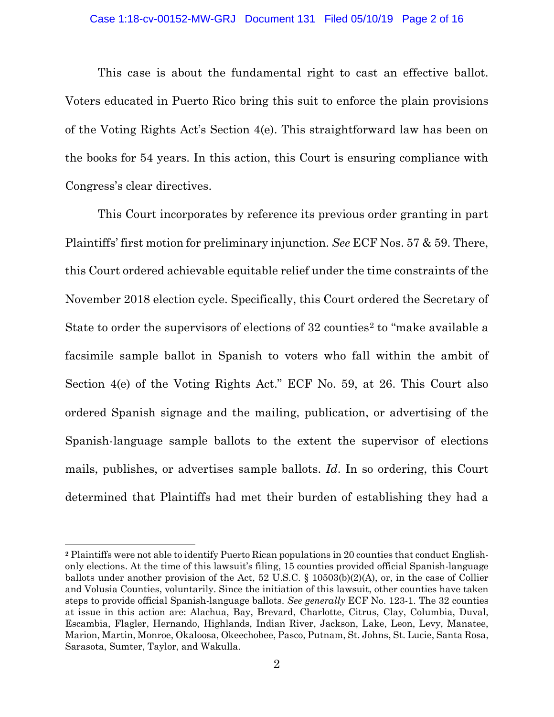This case is about the fundamental right to cast an effective ballot. Voters educated in Puerto Rico bring this suit to enforce the plain provisions of the Voting Rights Act's Section 4(e). This straightforward law has been on the books for 54 years. In this action, this Court is ensuring compliance with Congress's clear directives.

This Court incorporates by reference its previous order granting in part Plaintiffs' first motion for preliminary injunction. *See* ECF Nos. 57 & 59. There, this Court ordered achievable equitable relief under the time constraints of the November 2018 election cycle. Specifically, this Court ordered the Secretary of State to order the supervisors of elections of 3[2](#page-1-0) counties<sup>2</sup> to "make available a facsimile sample ballot in Spanish to voters who fall within the ambit of Section 4(e) of the Voting Rights Act." ECF No. 59, at 26. This Court also ordered Spanish signage and the mailing, publication, or advertising of the Spanish-language sample ballots to the extent the supervisor of elections mails, publishes, or advertises sample ballots. *Id*. In so ordering, this Court determined that Plaintiffs had met their burden of establishing they had a

l

<span id="page-1-0"></span>**<sup>2</sup>** Plaintiffs were not able to identify Puerto Rican populations in 20 counties that conduct Englishonly elections. At the time of this lawsuit's filing, 15 counties provided official Spanish-language ballots under another provision of the Act, 52 U.S.C. § 10503(b)(2)(A), or, in the case of Collier and Volusia Counties, voluntarily. Since the initiation of this lawsuit, other counties have taken steps to provide official Spanish-language ballots. *See generally* ECF No. 123-1. The 32 counties at issue in this action are: Alachua, Bay, Brevard, Charlotte, Citrus, Clay, Columbia, Duval, Escambia, Flagler, Hernando, Highlands, Indian River, Jackson, Lake, Leon, Levy, Manatee, Marion, Martin, Monroe, Okaloosa, Okeechobee, Pasco, Putnam, St. Johns, St. Lucie, Santa Rosa, Sarasota, Sumter, Taylor, and Wakulla.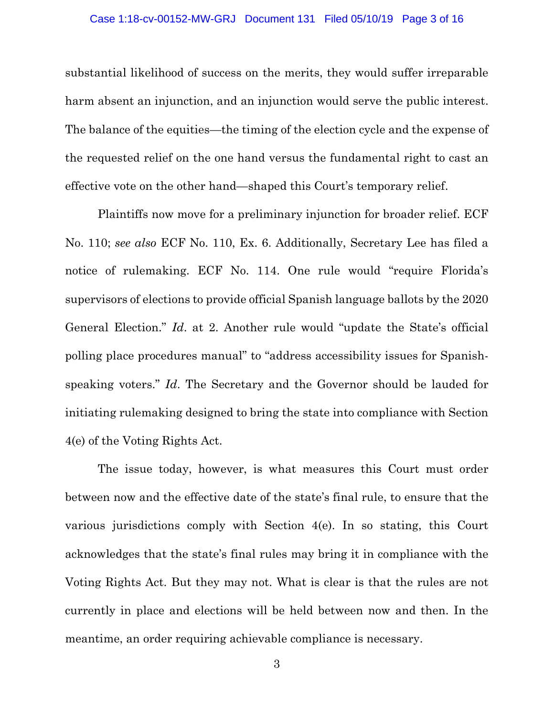#### Case 1:18-cv-00152-MW-GRJ Document 131 Filed 05/10/19 Page 3 of 16

substantial likelihood of success on the merits, they would suffer irreparable harm absent an injunction, and an injunction would serve the public interest. The balance of the equities—the timing of the election cycle and the expense of the requested relief on the one hand versus the fundamental right to cast an effective vote on the other hand—shaped this Court's temporary relief.

Plaintiffs now move for a preliminary injunction for broader relief. ECF No. 110; *see also* ECF No. 110, Ex. 6. Additionally, Secretary Lee has filed a notice of rulemaking. ECF No. 114. One rule would "require Florida's supervisors of elections to provide official Spanish language ballots by the 2020 General Election." *Id*. at 2. Another rule would "update the State's official polling place procedures manual" to "address accessibility issues for Spanishspeaking voters." *Id*. The Secretary and the Governor should be lauded for initiating rulemaking designed to bring the state into compliance with Section 4(e) of the Voting Rights Act.

The issue today, however, is what measures this Court must order between now and the effective date of the state's final rule, to ensure that the various jurisdictions comply with Section 4(e). In so stating, this Court acknowledges that the state's final rules may bring it in compliance with the Voting Rights Act. But they may not. What is clear is that the rules are not currently in place and elections will be held between now and then. In the meantime, an order requiring achievable compliance is necessary.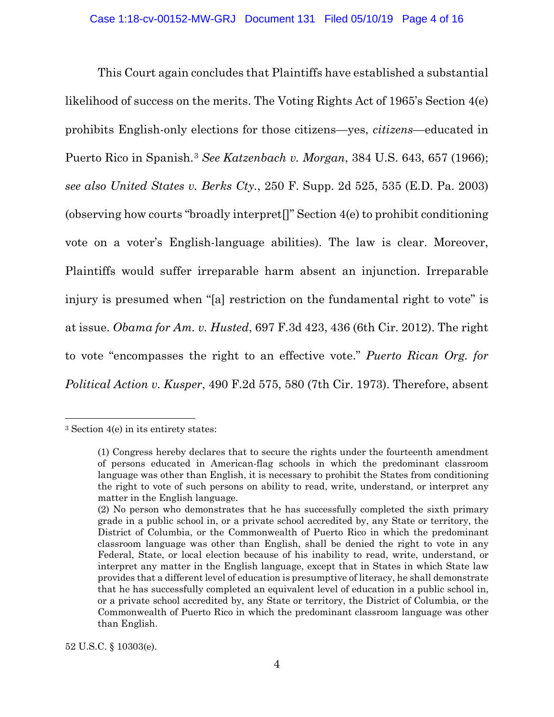This Court again concludes that Plaintiffs have established a substantial likelihood of success on the merits. The Voting Rights Act of 1965's Section 4(e) prohibits English-only elections for those citizens—yes, *citizens*—educated in Puerto Rico in Spanish.[3](#page-3-0) *See Katzenbach v. Morgan*, 384 U.S. 643, 657 (1966); *see also United States v. Berks Cty.*, 250 F. Supp. 2d 525, 535 (E.D. Pa. 2003) (observing how courts "broadly interpret[]" Section 4(e) to prohibit conditioning vote on a voter's English-language abilities). The law is clear. Moreover, Plaintiffs would suffer irreparable harm absent an injunction. Irreparable injury is presumed when "[a] restriction on the fundamental right to vote" is at issue. *Obama for Am. v. Husted*, 697 F.3d 423, 436 (6th Cir. 2012). The right to vote "encompasses the right to an effective vote." *Puerto Rican Org. for Political Action v. Kusper*, 490 F.2d 575, 580 (7th Cir. 1973). Therefore, absent

 $\overline{\phantom{a}}$ 

52 U.S.C. § 10303(e).

<span id="page-3-0"></span><sup>3</sup> Section 4(e) in its entirety states:

<sup>(1)</sup> Congress hereby declares that to secure the rights under the fourteenth amendment of persons educated in American-flag schools in which the predominant classroom language was other than English, it is necessary to prohibit the States from conditioning the right to vote of such persons on ability to read, write, understand, or interpret any matter in the English language.

<sup>(2)</sup> No person who demonstrates that he has successfully completed the sixth primary grade in a public school in, or a private school accredited by, any State or territory, the District of Columbia, or the Commonwealth of Puerto Rico in which the predominant classroom language was other than English, shall be denied the right to vote in any Federal, State, or local election because of his inability to read, write, understand, or interpret any matter in the English language, except that in States in which State law provides that a different level of education is presumptive of literacy, he shall demonstrate that he has successfully completed an equivalent level of education in a public school in, or a private school accredited by, any State or territory, the District of Columbia, or the Commonwealth of Puerto Rico in which the predominant classroom language was other than English.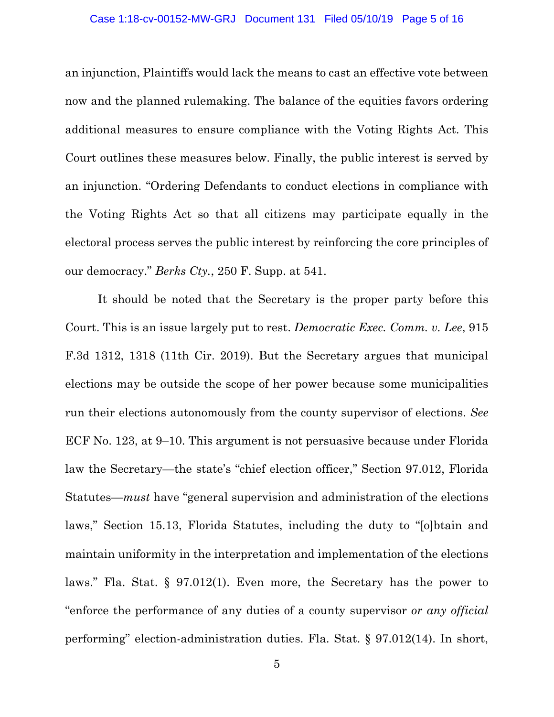#### Case 1:18-cv-00152-MW-GRJ Document 131 Filed 05/10/19 Page 5 of 16

an injunction, Plaintiffs would lack the means to cast an effective vote between now and the planned rulemaking. The balance of the equities favors ordering additional measures to ensure compliance with the Voting Rights Act. This Court outlines these measures below. Finally, the public interest is served by an injunction. "Ordering Defendants to conduct elections in compliance with the Voting Rights Act so that all citizens may participate equally in the electoral process serves the public interest by reinforcing the core principles of our democracy." *Berks Cty.*, 250 F. Supp. at 541.

It should be noted that the Secretary is the proper party before this Court. This is an issue largely put to rest. *Democratic Exec. Comm. v. Lee*, 915 F.3d 1312, 1318 (11th Cir. 2019). But the Secretary argues that municipal elections may be outside the scope of her power because some municipalities run their elections autonomously from the county supervisor of elections. *See* ECF No. 123, at 9–10. This argument is not persuasive because under Florida law the Secretary—the state's "chief election officer," Section 97.012, Florida Statutes—*must* have "general supervision and administration of the elections laws," Section 15.13, Florida Statutes, including the duty to "[o]btain and maintain uniformity in the interpretation and implementation of the elections laws." Fla. Stat. § 97.012(1). Even more, the Secretary has the power to "enforce the performance of any duties of a county supervisor *or any official* performing" election-administration duties. Fla. Stat. § 97.012(14). In short,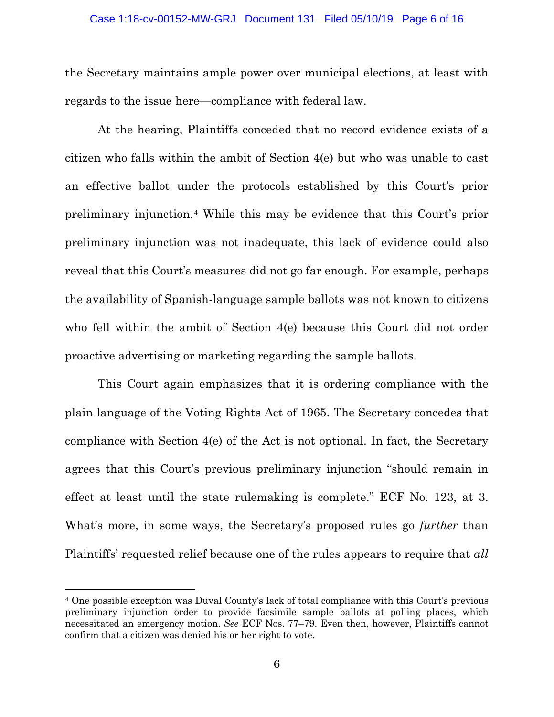#### Case 1:18-cv-00152-MW-GRJ Document 131 Filed 05/10/19 Page 6 of 16

the Secretary maintains ample power over municipal elections, at least with regards to the issue here—compliance with federal law.

At the hearing, Plaintiffs conceded that no record evidence exists of a citizen who falls within the ambit of Section 4(e) but who was unable to cast an effective ballot under the protocols established by this Court's prior preliminary injunction.[4](#page-5-0) While this may be evidence that this Court's prior preliminary injunction was not inadequate, this lack of evidence could also reveal that this Court's measures did not go far enough. For example, perhaps the availability of Spanish-language sample ballots was not known to citizens who fell within the ambit of Section 4(e) because this Court did not order proactive advertising or marketing regarding the sample ballots.

This Court again emphasizes that it is ordering compliance with the plain language of the Voting Rights Act of 1965. The Secretary concedes that compliance with Section 4(e) of the Act is not optional. In fact, the Secretary agrees that this Court's previous preliminary injunction "should remain in effect at least until the state rulemaking is complete." ECF No. 123, at 3. What's more, in some ways, the Secretary's proposed rules go *further* than Plaintiffs' requested relief because one of the rules appears to require that *all*

<span id="page-5-0"></span><sup>4</sup> One possible exception was Duval County's lack of total compliance with this Court's previous preliminary injunction order to provide facsimile sample ballots at polling places, which necessitated an emergency motion. *See* ECF Nos. 77–79. Even then, however, Plaintiffs cannot confirm that a citizen was denied his or her right to vote.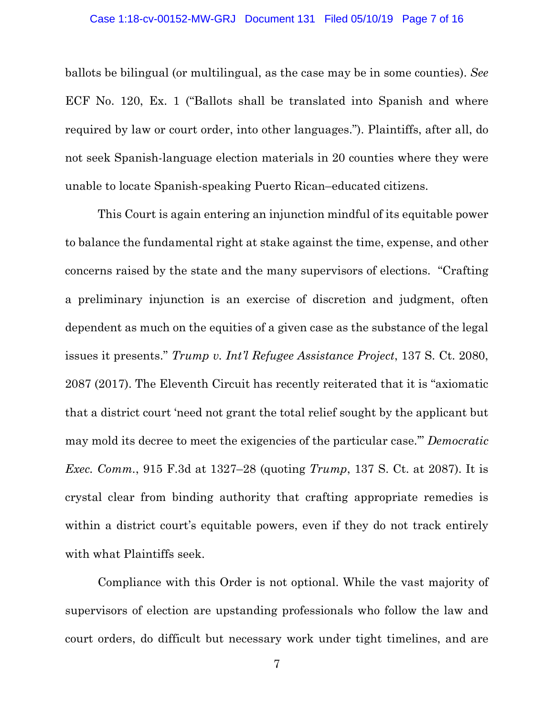ballots be bilingual (or multilingual, as the case may be in some counties). *See*  ECF No. 120, Ex. 1 ("Ballots shall be translated into Spanish and where required by law or court order, into other languages."). Plaintiffs, after all, do not seek Spanish-language election materials in 20 counties where they were unable to locate Spanish-speaking Puerto Rican–educated citizens.

This Court is again entering an injunction mindful of its equitable power to balance the fundamental right at stake against the time, expense, and other concerns raised by the state and the many supervisors of elections. "Crafting a preliminary injunction is an exercise of discretion and judgment, often dependent as much on the equities of a given case as the substance of the legal issues it presents." *Trump v. Int'l Refugee Assistance Project*, 137 S. Ct. 2080, 2087 (2017). The Eleventh Circuit has recently reiterated that it is "axiomatic that a district court 'need not grant the total relief sought by the applicant but may mold its decree to meet the exigencies of the particular case.'" *Democratic Exec. Comm.*, 915 F.3d at 1327–28 (quoting *Trump*, 137 S. Ct. at 2087). It is crystal clear from binding authority that crafting appropriate remedies is within a district court's equitable powers, even if they do not track entirely with what Plaintiffs seek.

Compliance with this Order is not optional. While the vast majority of supervisors of election are upstanding professionals who follow the law and court orders, do difficult but necessary work under tight timelines, and are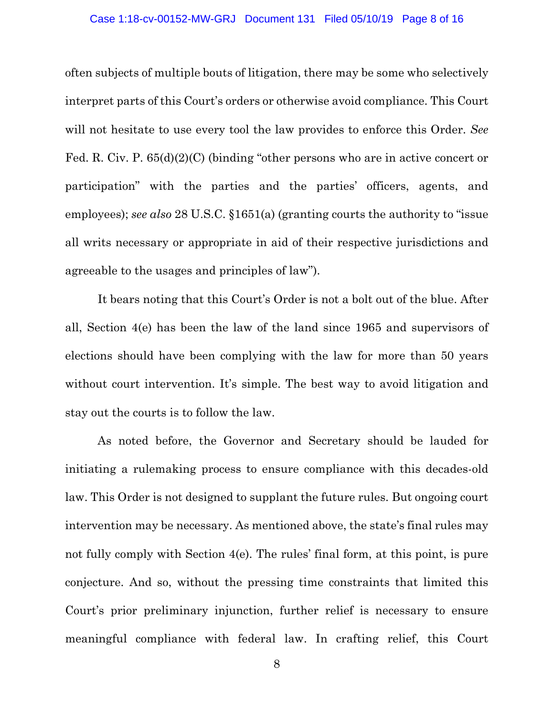#### Case 1:18-cv-00152-MW-GRJ Document 131 Filed 05/10/19 Page 8 of 16

often subjects of multiple bouts of litigation, there may be some who selectively interpret parts of this Court's orders or otherwise avoid compliance. This Court will not hesitate to use every tool the law provides to enforce this Order. *See* Fed. R. Civ. P. 65(d)(2)(C) (binding "other persons who are in active concert or participation" with the parties and the parties' officers, agents, and employees); *see also* 28 U.S.C. §1651(a) (granting courts the authority to "issue all writs necessary or appropriate in aid of their respective jurisdictions and agreeable to the usages and principles of law").

It bears noting that this Court's Order is not a bolt out of the blue. After all, Section 4(e) has been the law of the land since 1965 and supervisors of elections should have been complying with the law for more than 50 years without court intervention. It's simple. The best way to avoid litigation and stay out the courts is to follow the law.

As noted before, the Governor and Secretary should be lauded for initiating a rulemaking process to ensure compliance with this decades-old law. This Order is not designed to supplant the future rules. But ongoing court intervention may be necessary. As mentioned above, the state's final rules may not fully comply with Section 4(e). The rules' final form, at this point, is pure conjecture. And so, without the pressing time constraints that limited this Court's prior preliminary injunction, further relief is necessary to ensure meaningful compliance with federal law. In crafting relief, this Court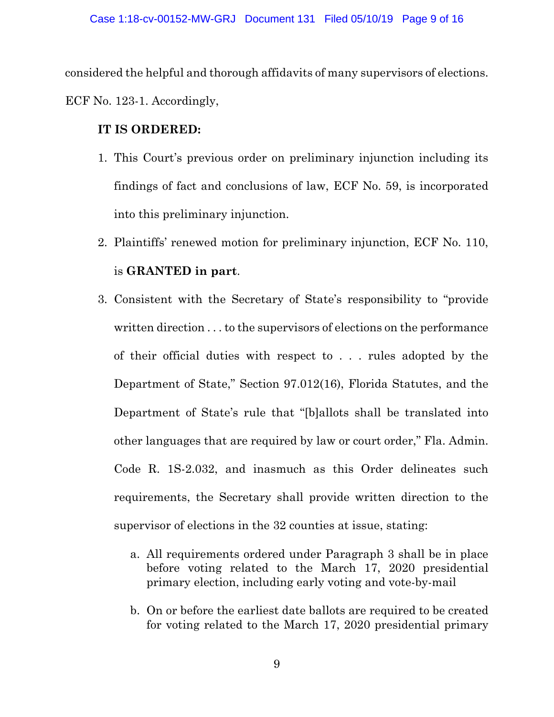considered the helpful and thorough affidavits of many supervisors of elections. ECF No. 123-1. Accordingly,

## **IT IS ORDERED:**

- 1. This Court's previous order on preliminary injunction including its findings of fact and conclusions of law, ECF No. 59, is incorporated into this preliminary injunction.
- 2. Plaintiffs' renewed motion for preliminary injunction, ECF No. 110, is **GRANTED in part**.
- 3. Consistent with the Secretary of State's responsibility to "provide written direction . . . to the supervisors of elections on the performance of their official duties with respect to . . . rules adopted by the Department of State," Section 97.012(16), Florida Statutes, and the Department of State's rule that "[b]allots shall be translated into other languages that are required by law or court order," Fla. Admin. Code R. 1S-2.032, and inasmuch as this Order delineates such requirements, the Secretary shall provide written direction to the supervisor of elections in the 32 counties at issue, stating:
	- a. All requirements ordered under Paragraph 3 shall be in place before voting related to the March 17, 2020 presidential primary election, including early voting and vote-by-mail
	- b. On or before the earliest date ballots are required to be created for voting related to the March 17, 2020 presidential primary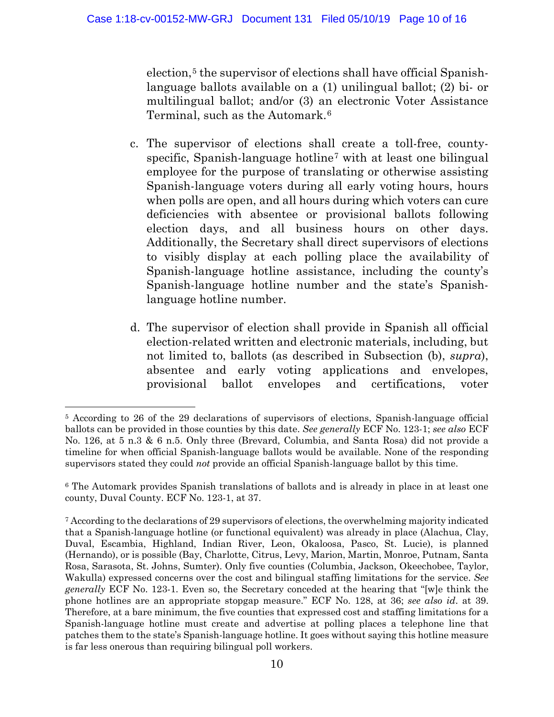election,<sup>[5](#page-9-0)</sup> the supervisor of elections shall have official Spanishlanguage ballots available on a (1) unilingual ballot; (2) bi- or multilingual ballot; and/or (3) an electronic Voter Assistance Terminal, such as the Automark.[6](#page-9-1)

- c. The supervisor of elections shall create a toll-free, county-specific, Spanish-language hotline<sup>[7](#page-9-2)</sup> with at least one bilingual employee for the purpose of translating or otherwise assisting Spanish-language voters during all early voting hours, hours when polls are open, and all hours during which voters can cure deficiencies with absentee or provisional ballots following election days, and all business hours on other days. Additionally, the Secretary shall direct supervisors of elections to visibly display at each polling place the availability of Spanish-language hotline assistance, including the county's Spanish-language hotline number and the state's Spanishlanguage hotline number.
- d. The supervisor of election shall provide in Spanish all official election-related written and electronic materials, including, but not limited to, ballots (as described in Subsection (b), *supra*), absentee and early voting applications and envelopes, provisional ballot envelopes and certifications, voter

<span id="page-9-0"></span>l <sup>5</sup> According to 26 of the 29 declarations of supervisors of elections, Spanish-language official ballots can be provided in those counties by this date. *See generally* ECF No. 123-1; *see also* ECF No. 126, at 5 n.3 & 6 n.5. Only three (Brevard, Columbia, and Santa Rosa) did not provide a timeline for when official Spanish-language ballots would be available. None of the responding supervisors stated they could *not* provide an official Spanish-language ballot by this time.

<span id="page-9-1"></span><sup>6</sup> The Automark provides Spanish translations of ballots and is already in place in at least one county, Duval County. ECF No. 123-1, at 37.

<span id="page-9-2"></span><sup>7</sup> According to the declarations of 29 supervisors of elections, the overwhelming majority indicated that a Spanish-language hotline (or functional equivalent) was already in place (Alachua, Clay, Duval, Escambia, Highland, Indian River, Leon, Okaloosa, Pasco, St. Lucie), is planned (Hernando), or is possible (Bay, Charlotte, Citrus, Levy, Marion, Martin, Monroe, Putnam, Santa Rosa, Sarasota, St. Johns, Sumter). Only five counties (Columbia, Jackson, Okeechobee, Taylor, Wakulla) expressed concerns over the cost and bilingual staffing limitations for the service. *See generally* ECF No. 123-1. Even so, the Secretary conceded at the hearing that "[w]e think the phone hotlines are an appropriate stopgap measure." ECF No. 128, at 36; *see also id*. at 39. Therefore, at a bare minimum, the five counties that expressed cost and staffing limitations for a Spanish-language hotline must create and advertise at polling places a telephone line that patches them to the state's Spanish-language hotline. It goes without saying this hotline measure is far less onerous than requiring bilingual poll workers.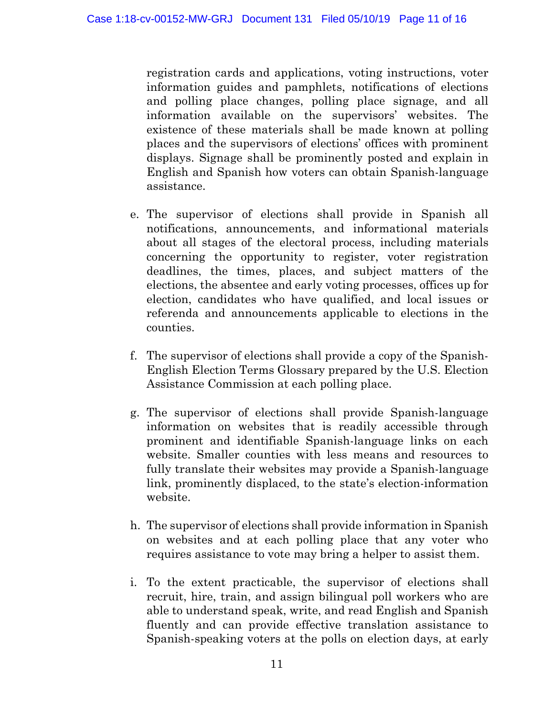registration cards and applications, voting instructions, voter information guides and pamphlets, notifications of elections and polling place changes, polling place signage, and all information available on the supervisors' websites. The existence of these materials shall be made known at polling places and the supervisors of elections' offices with prominent displays. Signage shall be prominently posted and explain in English and Spanish how voters can obtain Spanish-language assistance.

- e. The supervisor of elections shall provide in Spanish all notifications, announcements, and informational materials about all stages of the electoral process, including materials concerning the opportunity to register, voter registration deadlines, the times, places, and subject matters of the elections, the absentee and early voting processes, offices up for election, candidates who have qualified, and local issues or referenda and announcements applicable to elections in the counties.
- f. The supervisor of elections shall provide a copy of the Spanish-English Election Terms Glossary prepared by the U.S. Election Assistance Commission at each polling place.
- g. The supervisor of elections shall provide Spanish-language information on websites that is readily accessible through prominent and identifiable Spanish-language links on each website. Smaller counties with less means and resources to fully translate their websites may provide a Spanish-language link, prominently displaced, to the state's election-information website.
- h. The supervisor of elections shall provide information in Spanish on websites and at each polling place that any voter who requires assistance to vote may bring a helper to assist them.
- i. To the extent practicable, the supervisor of elections shall recruit, hire, train, and assign bilingual poll workers who are able to understand speak, write, and read English and Spanish fluently and can provide effective translation assistance to Spanish-speaking voters at the polls on election days, at early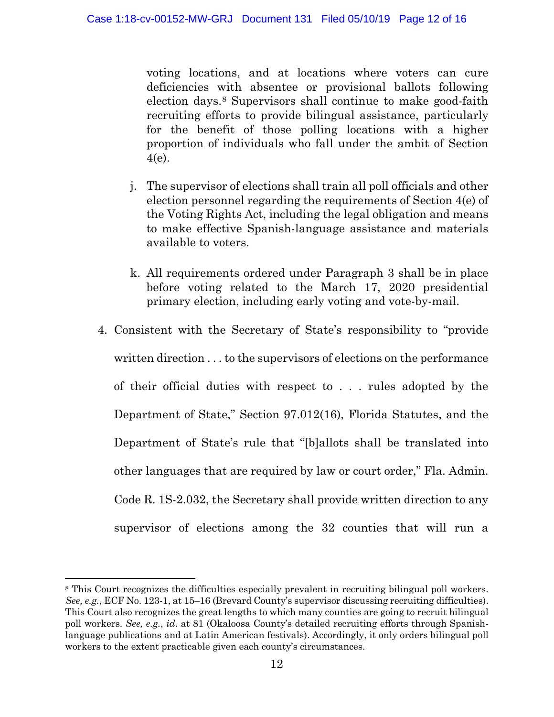voting locations, and at locations where voters can cure deficiencies with absentee or provisional ballots following election days.[8](#page-11-0) Supervisors shall continue to make good-faith recruiting efforts to provide bilingual assistance, particularly for the benefit of those polling locations with a higher proportion of individuals who fall under the ambit of Section 4(e).

- j. The supervisor of elections shall train all poll officials and other election personnel regarding the requirements of Section 4(e) of the Voting Rights Act, including the legal obligation and means to make effective Spanish-language assistance and materials available to voters.
- k. All requirements ordered under Paragraph 3 shall be in place before voting related to the March 17, 2020 presidential primary election, including early voting and vote-by-mail.
- 4. Consistent with the Secretary of State's responsibility to "provide written direction . . . to the supervisors of elections on the performance of their official duties with respect to . . . rules adopted by the Department of State," Section 97.012(16), Florida Statutes, and the Department of State's rule that "[b]allots shall be translated into other languages that are required by law or court order," Fla. Admin. Code R. 1S-2.032, the Secretary shall provide written direction to any supervisor of elections among the 32 counties that will run a

l

<span id="page-11-0"></span><sup>&</sup>lt;sup>8</sup> This Court recognizes the difficulties especially prevalent in recruiting bilingual poll workers. *See, e.g.*, ECF No. 123-1, at 15–16 (Brevard County's supervisor discussing recruiting difficulties). This Court also recognizes the great lengths to which many counties are going to recruit bilingual poll workers. *See, e.g.*, *id*. at 81 (Okaloosa County's detailed recruiting efforts through Spanishlanguage publications and at Latin American festivals). Accordingly, it only orders bilingual poll workers to the extent practicable given each county's circumstances.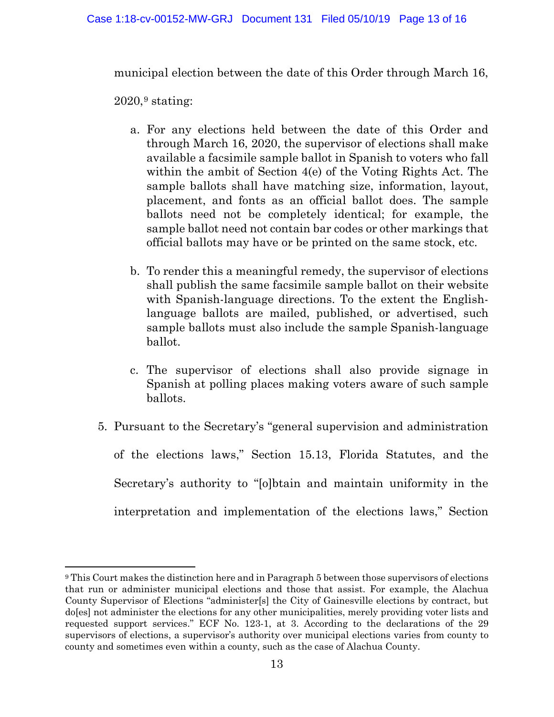municipal election between the date of this Order through March 16,

 $2020$ ,<sup>[9](#page-12-0)</sup> stating:

- a. For any elections held between the date of this Order and through March 16, 2020, the supervisor of elections shall make available a facsimile sample ballot in Spanish to voters who fall within the ambit of Section 4(e) of the Voting Rights Act. The sample ballots shall have matching size, information, layout, placement, and fonts as an official ballot does. The sample ballots need not be completely identical; for example, the sample ballot need not contain bar codes or other markings that official ballots may have or be printed on the same stock, etc.
- b. To render this a meaningful remedy, the supervisor of elections shall publish the same facsimile sample ballot on their website with Spanish-language directions. To the extent the Englishlanguage ballots are mailed, published, or advertised, such sample ballots must also include the sample Spanish-language ballot.
- c. The supervisor of elections shall also provide signage in Spanish at polling places making voters aware of such sample ballots.
- 5. Pursuant to the Secretary's "general supervision and administration of the elections laws," Section 15.13, Florida Statutes, and the Secretary's authority to "[o]btain and maintain uniformity in the interpretation and implementation of the elections laws," Section

<span id="page-12-0"></span><sup>9</sup> This Court makes the distinction here and in Paragraph 5 between those supervisors of elections that run or administer municipal elections and those that assist. For example, the Alachua County Supervisor of Elections "administer[s] the City of Gainesville elections by contract, but do[es] not administer the elections for any other municipalities, merely providing voter lists and requested support services." ECF No. 123-1, at 3. According to the declarations of the 29 supervisors of elections, a supervisor's authority over municipal elections varies from county to county and sometimes even within a county, such as the case of Alachua County.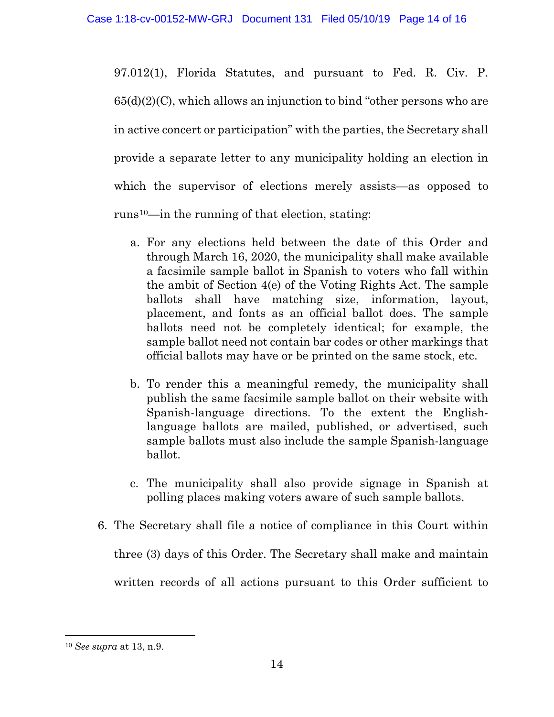97.012(1), Florida Statutes, and pursuant to Fed. R. Civ. P.  $65(d)(2)(C)$ , which allows an injunction to bind "other persons who are in active concert or participation" with the parties, the Secretary shall provide a separate letter to any municipality holding an election in which the supervisor of elections merely assists—as opposed to runs<sup>10</sup>—in the running of that election, stating:

- a. For any elections held between the date of this Order and through March 16, 2020, the municipality shall make available a facsimile sample ballot in Spanish to voters who fall within the ambit of Section 4(e) of the Voting Rights Act. The sample ballots shall have matching size, information, layout, placement, and fonts as an official ballot does. The sample ballots need not be completely identical; for example, the sample ballot need not contain bar codes or other markings that official ballots may have or be printed on the same stock, etc.
- b. To render this a meaningful remedy, the municipality shall publish the same facsimile sample ballot on their website with Spanish-language directions. To the extent the Englishlanguage ballots are mailed, published, or advertised, such sample ballots must also include the sample Spanish-language ballot.
- c. The municipality shall also provide signage in Spanish at polling places making voters aware of such sample ballots.
- 6. The Secretary shall file a notice of compliance in this Court within

three (3) days of this Order. The Secretary shall make and maintain

written records of all actions pursuant to this Order sufficient to

<span id="page-13-0"></span><sup>10</sup> *See supra* at 13, n.9.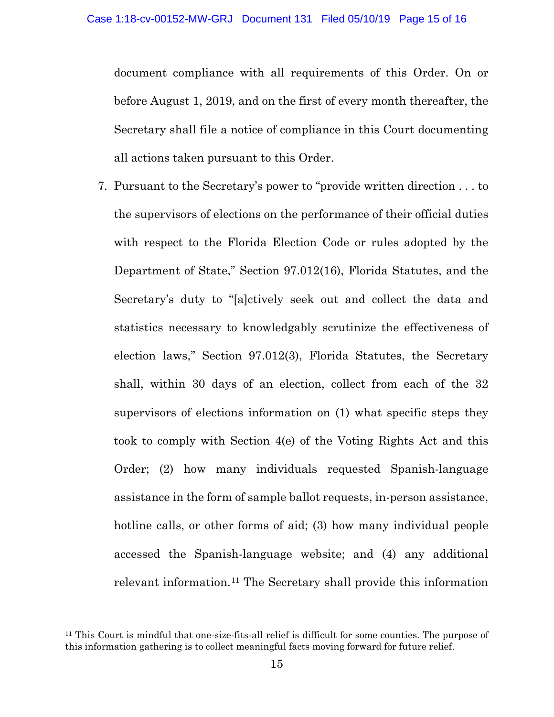document compliance with all requirements of this Order. On or before August 1, 2019, and on the first of every month thereafter, the Secretary shall file a notice of compliance in this Court documenting all actions taken pursuant to this Order.

7. Pursuant to the Secretary's power to "provide written direction . . . to the supervisors of elections on the performance of their official duties with respect to the Florida Election Code or rules adopted by the Department of State," Section 97.012(16), Florida Statutes, and the Secretary's duty to "[a]ctively seek out and collect the data and statistics necessary to knowledgably scrutinize the effectiveness of election laws," Section 97.012(3), Florida Statutes, the Secretary shall, within 30 days of an election, collect from each of the 32 supervisors of elections information on (1) what specific steps they took to comply with Section 4(e) of the Voting Rights Act and this Order; (2) how many individuals requested Spanish-language assistance in the form of sample ballot requests, in-person assistance, hotline calls, or other forms of aid; (3) how many individual people accessed the Spanish-language website; and (4) any additional relevant information.[11](#page-14-0) The Secretary shall provide this information

<span id="page-14-0"></span><sup>11</sup> This Court is mindful that one-size-fits-all relief is difficult for some counties. The purpose of this information gathering is to collect meaningful facts moving forward for future relief.